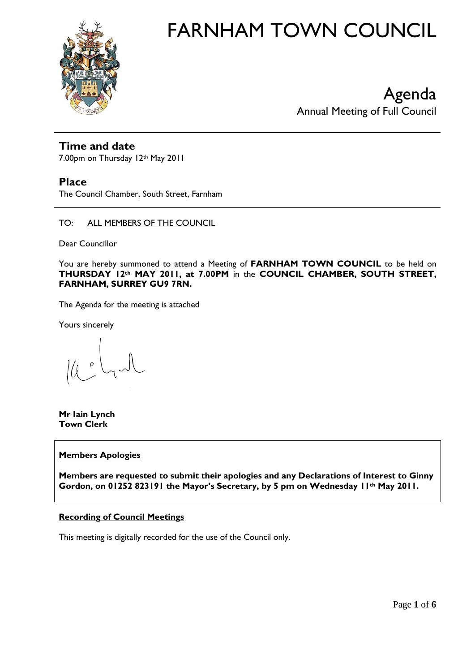

# FARNHAM TOWN COUNCIL

Agenda Annual Meeting of Full Council

# **Time and date**

7.00pm on Thursday 12th May 2011

# **Place**

The Council Chamber, South Street, Farnham

TO: ALL MEMBERS OF THE COUNCIL

Dear Councillor

You are hereby summoned to attend a Meeting of **FARNHAM TOWN COUNCIL** to be held on **THURSDAY 12th MAY 2011, at 7.00PM** in the **COUNCIL CHAMBER, SOUTH STREET, FARNHAM, SURREY GU9 7RN.** 

The Agenda for the meeting is attached

Yours sincerely

 $\mathcal{O}$ 

**Mr Iain Lynch Town Clerk**

# **Members Apologies**

**Members are requested to submit their apologies and any Declarations of Interest to Ginny Gordon, on 01252 823191 the Mayor's Secretary, by 5 pm on Wednesday 11th May 2011.**

# **Recording of Council Meetings**

This meeting is digitally recorded for the use of the Council only.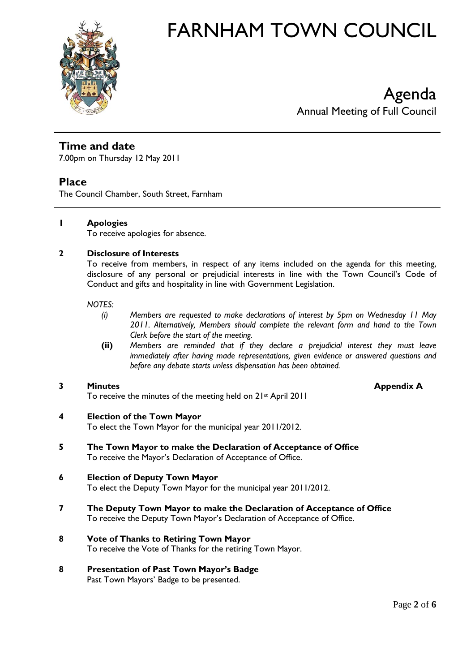

# FARNHAM TOWN COUNCIL

Agenda Annual Meeting of Full Council

# **Time and date**

7.00pm on Thursday 12 May 2011

# **Place**

The Council Chamber, South Street, Farnham

## **1 Apologies**

To receive apologies for absence.

## **2 Disclosure of Interests**

To receive from members, in respect of any items included on the agenda for this meeting, disclosure of any personal or prejudicial interests in line with the Town Council's Code of Conduct and gifts and hospitality in line with Government Legislation.

## *NOTES:*

- *(i) Members are requested to make declarations of interest by 5pm on Wednesday 11 May 2011. Alternatively, Members should complete the relevant form and hand to the Town Clerk before the start of the meeting.*
- **(ii)** *Members are reminded that if they declare a prejudicial interest they must leave immediately after having made representations, given evidence or answered questions and before any debate starts unless dispensation has been obtained.*

## **3 Minutes Appendix A**

To receive the minutes of the meeting held on 21st April 2011

## **4 Election of the Town Mayor**

To elect the Town Mayor for the municipal year 2011/2012.

**5 The Town Mayor to make the Declaration of Acceptance of Office** To receive the Mayor's Declaration of Acceptance of Office.

# **6 Election of Deputy Town Mayor**

To elect the Deputy Town Mayor for the municipal year 2011/2012.

**7 The Deputy Town Mayor to make the Declaration of Acceptance of Office** To receive the Deputy Town Mayor's Declaration of Acceptance of Office.

# **8 Vote of Thanks to Retiring Town Mayor**

To receive the Vote of Thanks for the retiring Town Mayor.

## **8 Presentation of Past Town Mayor's Badge**

Past Town Mayors' Badge to be presented.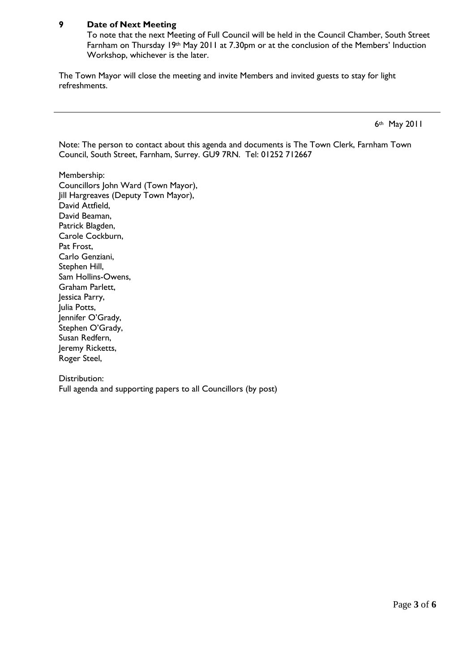## **9 Date of Next Meeting**

To note that the next Meeting of Full Council will be held in the Council Chamber, South Street Farnham on Thursday 19th May 2011 at 7.30pm or at the conclusion of the Members' Induction Workshop, whichever is the later.

The Town Mayor will close the meeting and invite Members and invited guests to stay for light refreshments.

6th May 2011

Note: The person to contact about this agenda and documents is The Town Clerk, Farnham Town Council, South Street, Farnham, Surrey. GU9 7RN. Tel: 01252 712667

Membership: Councillors John Ward (Town Mayor), Jill Hargreaves (Deputy Town Mayor), David Attfield, David Beaman, Patrick Blagden, Carole Cockburn, Pat Frost, Carlo Genziani, Stephen Hill, Sam Hollins-Owens, Graham Parlett, Jessica Parry, Julia Potts, Jennifer O'Grady, Stephen O'Grady, Susan Redfern, Jeremy Ricketts, Roger Steel,

Distribution: Full agenda and supporting papers to all Councillors (by post)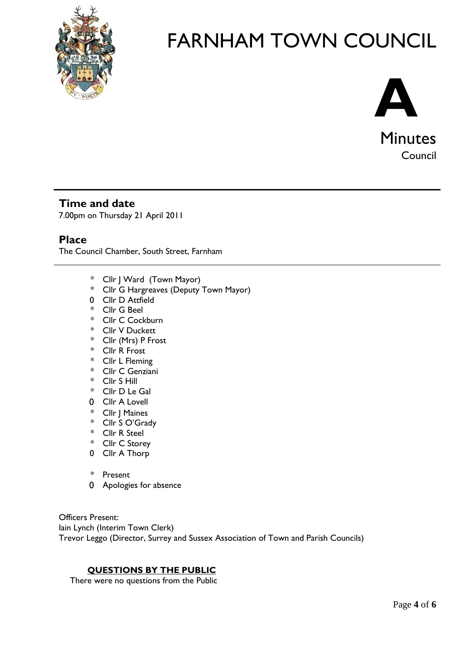

# FARNHAM TOWN COUNCIL



# **Time and date**

7.00pm on Thursday 21 April 2011

# **Place**

The Council Chamber, South Street, Farnham

- \* Cllr J Ward (Town Mayor)
- \* Cllr G Hargreaves (Deputy Town Mayor)
- 0 Cllr D Attfield
- \* Cllr G Beel
- \* Cllr C Cockburn
- \* Cllr V Duckett
- \* Cllr (Mrs) P Frost
- \* Cllr R Frost
- \* Cllr L Fleming
- \* Cllr C Genziani
- \* Cllr S Hill
- \* Cllr D Le Gal
- 0 Cllr A Lovell
- \* Cllr J Maines
- \* Cllr S O'Grady
- \* Cllr R Steel
- \* Cllr C Storey
- 0 Cllr A Thorp
- \* Present
- 0 Apologies for absence

Officers Present: Iain Lynch (Interim Town Clerk) Trevor Leggo (Director, Surrey and Sussex Association of Town and Parish Councils)

# **QUESTIONS BY THE PUBLIC**

There were no questions from the Public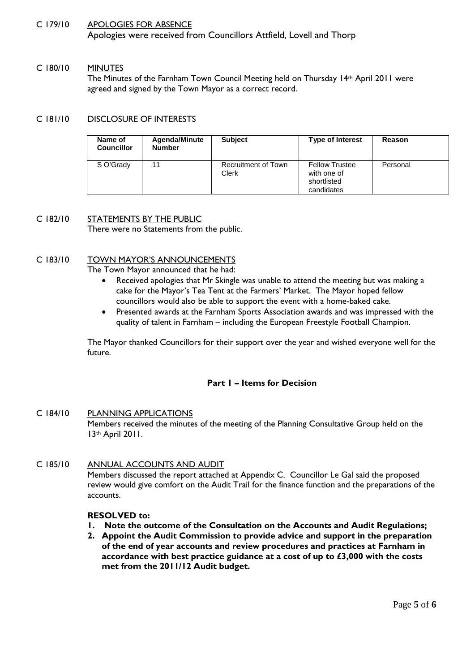## C 179/10 APOLOGIES FOR ABSENCE

Apologies were received from Councillors Attfield, Lovell and Thorp

#### C 180/10 MINUTES

The Minutes of the Farnham Town Council Meeting held on Thursday 14th April 2011 were agreed and signed by the Town Mayor as a correct record.

### C 181/10 DISCLOSURE OF INTERESTS

| Name of<br><b>Councillor</b> | <b>Agenda/Minute</b><br><b>Number</b> | <b>Subject</b>               | <b>Type of Interest</b>                                           | Reason   |
|------------------------------|---------------------------------------|------------------------------|-------------------------------------------------------------------|----------|
| S O'Grady                    | 11                                    | Recruitment of Town<br>Clerk | <b>Fellow Trustee</b><br>with one of<br>shortlisted<br>candidates | Personal |

## C 182/10 STATEMENTS BY THE PUBLIC

There were no Statements from the public.

#### C 183/10 TOWN MAYOR'S ANNOUNCEMENTS

The Town Mayor announced that he had:

- Received apologies that Mr Skingle was unable to attend the meeting but was making a cake for the Mayor's Tea Tent at the Farmers' Market. The Mayor hoped fellow councillors would also be able to support the event with a home-baked cake.
- Presented awards at the Farnham Sports Association awards and was impressed with the quality of talent in Farnham – including the European Freestyle Football Champion.

The Mayor thanked Councillors for their support over the year and wished everyone well for the future.

### **Part 1 – Items for Decision**

### C 184/10 PLANNING APPLICATIONS

Members received the minutes of the meeting of the Planning Consultative Group held on the 13th April 2011.

### C 185/10 ANNUAL ACCOUNTS AND AUDIT

Members discussed the report attached at Appendix C. Councillor Le Gal said the proposed review would give comfort on the Audit Trail for the finance function and the preparations of the accounts.

### **RESOLVED to:**

- **1. Note the outcome of the Consultation on the Accounts and Audit Regulations;**
- **2. Appoint the Audit Commission to provide advice and support in the preparation of the end of year accounts and review procedures and practices at Farnham in accordance with best practice guidance at a cost of up to £3,000 with the costs met from the 2011/12 Audit budget.**